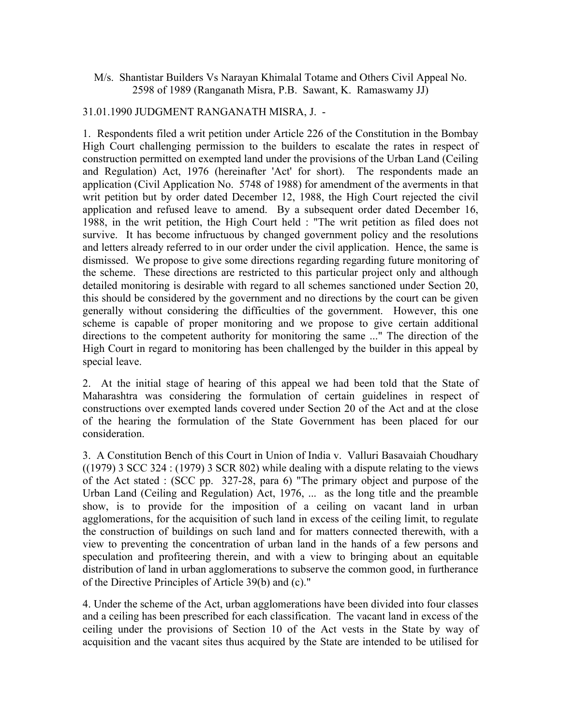## M/s. Shantistar Builders Vs Narayan Khimalal Totame and Others Civil Appeal No. 2598 of 1989 (Ranganath Misra, P.B. Sawant, K. Ramaswamy JJ)

## 31.01.1990 JUDGMENT RANGANATH MISRA, J. -

1. Respondents filed a writ petition under Article 226 of the Constitution in the Bombay High Court challenging permission to the builders to escalate the rates in respect of construction permitted on exempted land under the provisions of the Urban Land (Ceiling and Regulation) Act, 1976 (hereinafter 'Act' for short). The respondents made an application (Civil Application No. 5748 of 1988) for amendment of the averments in that writ petition but by order dated December 12, 1988, the High Court rejected the civil application and refused leave to amend. By a subsequent order dated December 16, 1988, in the writ petition, the High Court held : "The writ petition as filed does not survive. It has become infructuous by changed government policy and the resolutions and letters already referred to in our order under the civil application. Hence, the same is dismissed. We propose to give some directions regarding regarding future monitoring of the scheme. These directions are restricted to this particular project only and although detailed monitoring is desirable with regard to all schemes sanctioned under Section 20, this should be considered by the government and no directions by the court can be given generally without considering the difficulties of the government. However, this one scheme is capable of proper monitoring and we propose to give certain additional directions to the competent authority for monitoring the same ..." The direction of the High Court in regard to monitoring has been challenged by the builder in this appeal by special leave.

2. At the initial stage of hearing of this appeal we had been told that the State of Maharashtra was considering the formulation of certain guidelines in respect of constructions over exempted lands covered under Section 20 of the Act and at the close of the hearing the formulation of the State Government has been placed for our consideration.

3. A Constitution Bench of this Court in Union of India v. Valluri Basavaiah Choudhary  $((1979)$  3 SCC 324 :  $(1979)$  3 SCR 802) while dealing with a dispute relating to the views of the Act stated : (SCC pp. 327-28, para 6) "The primary object and purpose of the Urban Land (Ceiling and Regulation) Act, 1976, ... as the long title and the preamble show, is to provide for the imposition of a ceiling on vacant land in urban agglomerations, for the acquisition of such land in excess of the ceiling limit, to regulate the construction of buildings on such land and for matters connected therewith, with a view to preventing the concentration of urban land in the hands of a few persons and speculation and profiteering therein, and with a view to bringing about an equitable distribution of land in urban agglomerations to subserve the common good, in furtherance of the Directive Principles of Article 39(b) and (c)."

4. Under the scheme of the Act, urban agglomerations have been divided into four classes and a ceiling has been prescribed for each classification. The vacant land in excess of the ceiling under the provisions of Section 10 of the Act vests in the State by way of acquisition and the vacant sites thus acquired by the State are intended to be utilised for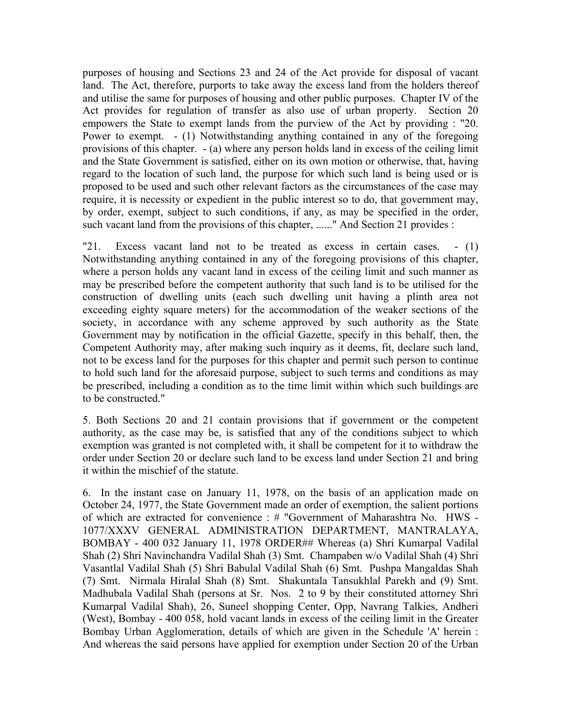purposes of housing and Sections 23 and 24 of the Act provide for disposal of vacant land. The Act, therefore, purports to take away the excess land from the holders thereof and utilise the same for purposes of housing and other public purposes. Chapter IV of the Act provides for regulation of transfer as also use of urban property. Section 20 empowers the State to exempt lands from the purview of the Act by providing : "20. Power to exempt. - (1) Notwithstanding anything contained in any of the foregoing provisions of this chapter. - (a) where any person holds land in excess of the ceiling limit and the State Government is satisfied, either on its own motion or otherwise, that, having regard to the location of such land, the purpose for which such land is being used or is proposed to be used and such other relevant factors as the circumstances of the case may require, it is necessity or expedient in the public interest so to do, that government may, by order, exempt, subject to such conditions, if any, as may be specified in the order, such vacant land from the provisions of this chapter, ......" And Section 21 provides :

"21. Excess vacant land not to be treated as excess in certain cases. - (1) Notwithstanding anything contained in any of the foregoing provisions of this chapter, where a person holds any vacant land in excess of the ceiling limit and such manner as may be prescribed before the competent authority that such land is to be utilised for the construction of dwelling units (each such dwelling unit having a plinth area not exceeding eighty square meters) for the accommodation of the weaker sections of the society, in accordance with any scheme approved by such authority as the State Government may by notification in the official Gazette, specify in this behalf, then, the Competent Authority may, after making such inquiry as it deems, fit, declare such land, not to be excess land for the purposes for this chapter and permit such person to continue to hold such land for the aforesaid purpose, subject to such terms and conditions as may be prescribed, including a condition as to the time limit within which such buildings are to be constructed."

5. Both Sections 20 and 21 contain provisions that if government or the competent authority, as the case may be, is satisfied that any of the conditions subject to which exemption was granted is not completed with, it shall be competent for it to withdraw the order under Section 20 or declare such land to be excess land under Section 21 and bring it within the mischief of the statute.

6. In the instant case on January 11, 1978, on the basis of an application made on October 24, 1977, the State Government made an order of exemption, the salient portions of which are extracted for convenience : # "Government of Maharashtra No. HWS - 1077/XXXV GENERAL ADMINISTRATION DEPARTMENT, MANTRALAYA, BOMBAY - 400 032 January 11, 1978 ORDER## Whereas (a) Shri Kumarpal Vadilal Shah (2) Shri Navinchandra Vadilal Shah (3) Smt. Champaben w/o Vadilal Shah (4) Shri Vasantlal Vadilal Shah (5) Shri Babulal Vadilal Shah (6) Smt. Pushpa Mangaldas Shah (7) Smt. Nirmala Hiralal Shah (8) Smt. Shakuntala Tansukhlal Parekh and (9) Smt. Madhubala Vadilal Shah (persons at Sr. Nos. 2 to 9 by their constituted attorney Shri Kumarpal Vadilal Shah), 26, Suneel shopping Center, Opp, Navrang Talkies, Andheri (West), Bombay - 400 058, hold vacant lands in excess of the ceiling limit in the Greater Bombay Urban Agglomeration, details of which are given in the Schedule 'A' herein : And whereas the said persons have applied for exemption under Section 20 of the Urban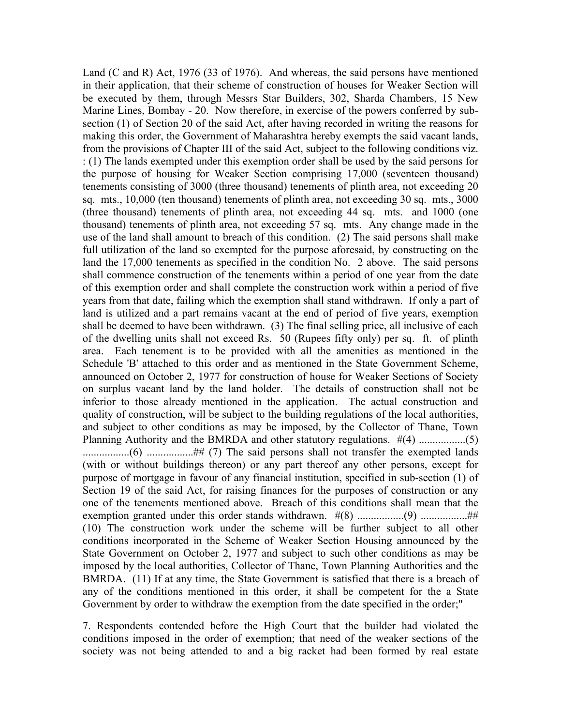Land (C and R) Act, 1976 (33 of 1976). And whereas, the said persons have mentioned in their application, that their scheme of construction of houses for Weaker Section will be executed by them, through Messrs Star Builders, 302, Sharda Chambers, 15 New Marine Lines, Bombay - 20. Now therefore, in exercise of the powers conferred by subsection (1) of Section 20 of the said Act, after having recorded in writing the reasons for making this order, the Government of Maharashtra hereby exempts the said vacant lands, from the provisions of Chapter III of the said Act, subject to the following conditions viz. : (1) The lands exempted under this exemption order shall be used by the said persons for the purpose of housing for Weaker Section comprising 17,000 (seventeen thousand) tenements consisting of 3000 (three thousand) tenements of plinth area, not exceeding 20 sq. mts., 10,000 (ten thousand) tenements of plinth area, not exceeding 30 sq. mts., 3000 (three thousand) tenements of plinth area, not exceeding 44 sq. mts. and 1000 (one thousand) tenements of plinth area, not exceeding 57 sq. mts. Any change made in the use of the land shall amount to breach of this condition. (2) The said persons shall make full utilization of the land so exempted for the purpose aforesaid, by constructing on the land the 17,000 tenements as specified in the condition No. 2 above. The said persons shall commence construction of the tenements within a period of one year from the date of this exemption order and shall complete the construction work within a period of five years from that date, failing which the exemption shall stand withdrawn. If only a part of land is utilized and a part remains vacant at the end of period of five years, exemption shall be deemed to have been withdrawn. (3) The final selling price, all inclusive of each of the dwelling units shall not exceed Rs. 50 (Rupees fifty only) per sq. ft. of plinth area. Each tenement is to be provided with all the amenities as mentioned in the Schedule 'B' attached to this order and as mentioned in the State Government Scheme, announced on October 2, 1977 for construction of house for Weaker Sections of Society on surplus vacant land by the land holder. The details of construction shall not be inferior to those already mentioned in the application. The actual construction and quality of construction, will be subject to the building regulations of the local authorities, and subject to other conditions as may be imposed, by the Collector of Thane, Town Planning Authority and the BMRDA and other statutory regulations. #(4) .................(5) .................(6) .................## (7) The said persons shall not transfer the exempted lands (with or without buildings thereon) or any part thereof any other persons, except for purpose of mortgage in favour of any financial institution, specified in sub-section (1) of Section 19 of the said Act, for raising finances for the purposes of construction or any one of the tenements mentioned above. Breach of this conditions shall mean that the exemption granted under this order stands withdrawn. #(8) .................(9) .................## (10) The construction work under the scheme will be further subject to all other conditions incorporated in the Scheme of Weaker Section Housing announced by the State Government on October 2, 1977 and subject to such other conditions as may be imposed by the local authorities, Collector of Thane, Town Planning Authorities and the BMRDA. (11) If at any time, the State Government is satisfied that there is a breach of any of the conditions mentioned in this order, it shall be competent for the a State Government by order to withdraw the exemption from the date specified in the order;"

7. Respondents contended before the High Court that the builder had violated the conditions imposed in the order of exemption; that need of the weaker sections of the society was not being attended to and a big racket had been formed by real estate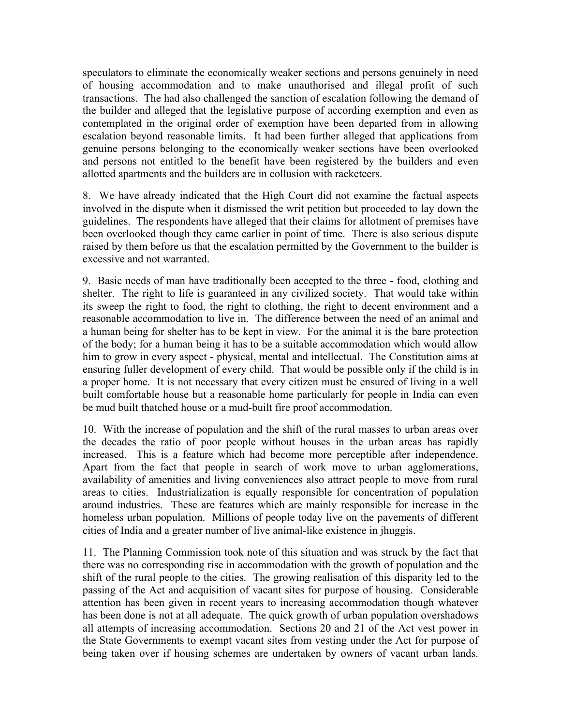speculators to eliminate the economically weaker sections and persons genuinely in need of housing accommodation and to make unauthorised and illegal profit of such transactions. The had also challenged the sanction of escalation following the demand of the builder and alleged that the legislative purpose of according exemption and even as contemplated in the original order of exemption have been departed from in allowing escalation beyond reasonable limits. It had been further alleged that applications from genuine persons belonging to the economically weaker sections have been overlooked and persons not entitled to the benefit have been registered by the builders and even allotted apartments and the builders are in collusion with racketeers.

8. We have already indicated that the High Court did not examine the factual aspects involved in the dispute when it dismissed the writ petition but proceeded to lay down the guidelines. The respondents have alleged that their claims for allotment of premises have been overlooked though they came earlier in point of time. There is also serious dispute raised by them before us that the escalation permitted by the Government to the builder is excessive and not warranted.

9. Basic needs of man have traditionally been accepted to the three - food, clothing and shelter. The right to life is guaranteed in any civilized society. That would take within its sweep the right to food, the right to clothing, the right to decent environment and a reasonable accommodation to live in. The difference between the need of an animal and a human being for shelter has to be kept in view. For the animal it is the bare protection of the body; for a human being it has to be a suitable accommodation which would allow him to grow in every aspect - physical, mental and intellectual. The Constitution aims at ensuring fuller development of every child. That would be possible only if the child is in a proper home. It is not necessary that every citizen must be ensured of living in a well built comfortable house but a reasonable home particularly for people in India can even be mud built thatched house or a mud-built fire proof accommodation.

10. With the increase of population and the shift of the rural masses to urban areas over the decades the ratio of poor people without houses in the urban areas has rapidly increased. This is a feature which had become more perceptible after independence. Apart from the fact that people in search of work move to urban agglomerations, availability of amenities and living conveniences also attract people to move from rural areas to cities. Industrialization is equally responsible for concentration of population around industries. These are features which are mainly responsible for increase in the homeless urban population. Millions of people today live on the pavements of different cities of India and a greater number of live animal-like existence in jhuggis.

11. The Planning Commission took note of this situation and was struck by the fact that there was no corresponding rise in accommodation with the growth of population and the shift of the rural people to the cities. The growing realisation of this disparity led to the passing of the Act and acquisition of vacant sites for purpose of housing. Considerable attention has been given in recent years to increasing accommodation though whatever has been done is not at all adequate. The quick growth of urban population overshadows all attempts of increasing accommodation. Sections 20 and 21 of the Act vest power in the State Governments to exempt vacant sites from vesting under the Act for purpose of being taken over if housing schemes are undertaken by owners of vacant urban lands.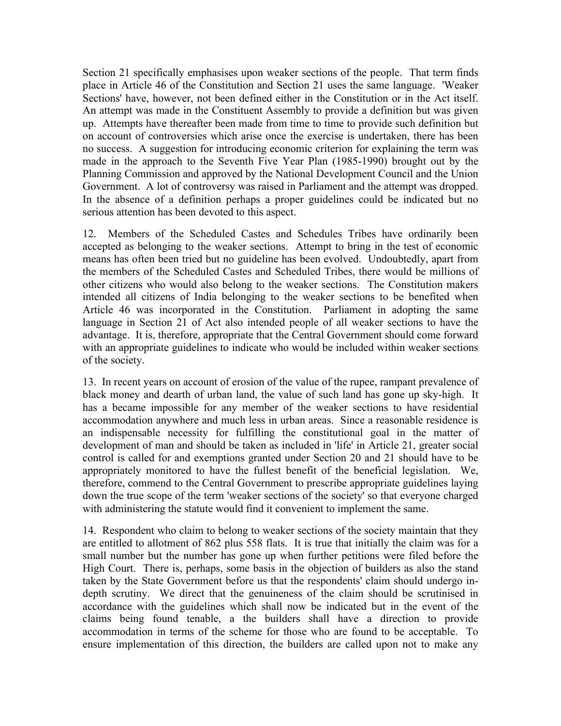Section 21 specifically emphasises upon weaker sections of the people. That term finds place in Article 46 of the Constitution and Section 21 uses the same language. 'Weaker Sections' have, however, not been defined either in the Constitution or in the Act itself. An attempt was made in the Constituent Assembly to provide a definition but was given up. Attempts have thereafter been made from time to time to provide such definition but on account of controversies which arise once the exercise is undertaken, there has been no success. A suggestion for introducing economic criterion for explaining the term was made in the approach to the Seventh Five Year Plan (1985-1990) brought out by the Planning Commission and approved by the National Development Council and the Union Government. A lot of controversy was raised in Parliament and the attempt was dropped. In the absence of a definition perhaps a proper guidelines could be indicated but no serious attention has been devoted to this aspect.

12. Members of the Scheduled Castes and Schedules Tribes have ordinarily been accepted as belonging to the weaker sections. Attempt to bring in the test of economic means has often been tried but no guideline has been evolved. Undoubtedly, apart from the members of the Scheduled Castes and Scheduled Tribes, there would be millions of other citizens who would also belong to the weaker sections. The Constitution makers intended all citizens of India belonging to the weaker sections to be benefited when Article 46 was incorporated in the Constitution. Parliament in adopting the same language in Section 21 of Act also intended people of all weaker sections to have the advantage. It is, therefore, appropriate that the Central Government should come forward with an appropriate guidelines to indicate who would be included within weaker sections of the society.

13. In recent years on account of erosion of the value of the rupee, rampant prevalence of black money and dearth of urban land, the value of such land has gone up sky-high. It has a became impossible for any member of the weaker sections to have residential accommodation anywhere and much less in urban areas. Since a reasonable residence is an indispensable necessity for fulfilling the constitutional goal in the matter of development of man and should be taken as included in 'life' in Article 21, greater social control is called for and exemptions granted under Section 20 and 21 should have to be appropriately monitored to have the fullest benefit of the beneficial legislation. We, therefore, commend to the Central Government to prescribe appropriate guidelines laying down the true scope of the term 'weaker sections of the society' so that everyone charged with administering the statute would find it convenient to implement the same.

14. Respondent who claim to belong to weaker sections of the society maintain that they are entitled to allotment of 862 plus 558 flats. It is true that initially the claim was for a small number but the number has gone up when further petitions were filed before the High Court. There is, perhaps, some basis in the objection of builders as also the stand taken by the State Government before us that the respondents' claim should undergo indepth scrutiny. We direct that the genuineness of the claim should be scrutinised in accordance with the guidelines which shall now be indicated but in the event of the claims being found tenable, a the builders shall have a direction to provide accommodation in terms of the scheme for those who are found to be acceptable. To ensure implementation of this direction, the builders are called upon not to make any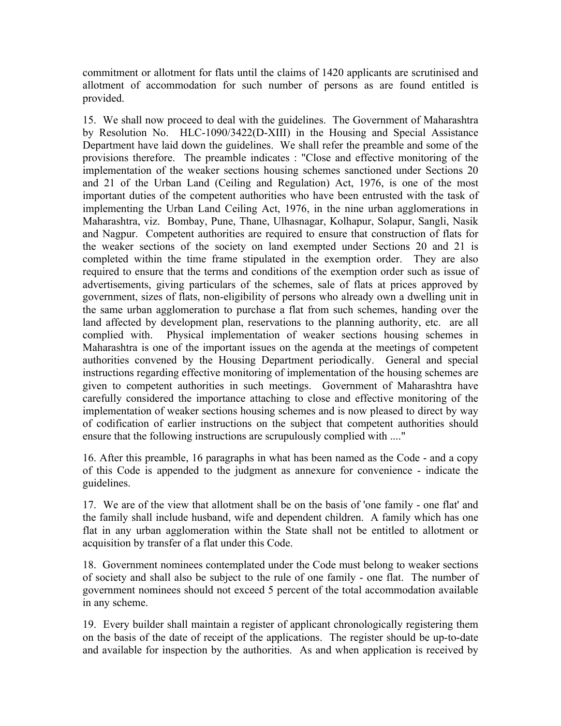commitment or allotment for flats until the claims of 1420 applicants are scrutinised and allotment of accommodation for such number of persons as are found entitled is provided.

15. We shall now proceed to deal with the guidelines. The Government of Maharashtra by Resolution No. HLC-1090/3422(D-XIII) in the Housing and Special Assistance Department have laid down the guidelines. We shall refer the preamble and some of the provisions therefore. The preamble indicates : "Close and effective monitoring of the implementation of the weaker sections housing schemes sanctioned under Sections 20 and 21 of the Urban Land (Ceiling and Regulation) Act, 1976, is one of the most important duties of the competent authorities who have been entrusted with the task of implementing the Urban Land Ceiling Act, 1976, in the nine urban agglomerations in Maharashtra, viz. Bombay, Pune, Thane, Ulhasnagar, Kolhapur, Solapur, Sangli, Nasik and Nagpur. Competent authorities are required to ensure that construction of flats for the weaker sections of the society on land exempted under Sections 20 and 21 is completed within the time frame stipulated in the exemption order. They are also required to ensure that the terms and conditions of the exemption order such as issue of advertisements, giving particulars of the schemes, sale of flats at prices approved by government, sizes of flats, non-eligibility of persons who already own a dwelling unit in the same urban agglomeration to purchase a flat from such schemes, handing over the land affected by development plan, reservations to the planning authority, etc. are all complied with. Physical implementation of weaker sections housing schemes in Maharashtra is one of the important issues on the agenda at the meetings of competent authorities convened by the Housing Department periodically. General and special instructions regarding effective monitoring of implementation of the housing schemes are given to competent authorities in such meetings. Government of Maharashtra have carefully considered the importance attaching to close and effective monitoring of the implementation of weaker sections housing schemes and is now pleased to direct by way of codification of earlier instructions on the subject that competent authorities should ensure that the following instructions are scrupulously complied with ...."

16. After this preamble, 16 paragraphs in what has been named as the Code - and a copy of this Code is appended to the judgment as annexure for convenience - indicate the guidelines.

17. We are of the view that allotment shall be on the basis of 'one family - one flat' and the family shall include husband, wife and dependent children. A family which has one flat in any urban agglomeration within the State shall not be entitled to allotment or acquisition by transfer of a flat under this Code.

18. Government nominees contemplated under the Code must belong to weaker sections of society and shall also be subject to the rule of one family - one flat. The number of government nominees should not exceed 5 percent of the total accommodation available in any scheme.

19. Every builder shall maintain a register of applicant chronologically registering them on the basis of the date of receipt of the applications. The register should be up-to-date and available for inspection by the authorities. As and when application is received by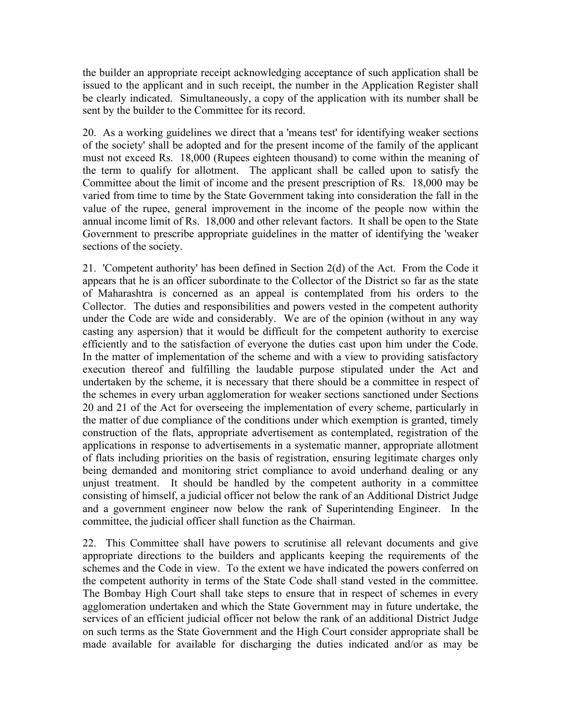the builder an appropriate receipt acknowledging acceptance of such application shall be issued to the applicant and in such receipt, the number in the Application Register shall be clearly indicated. Simultaneously, a copy of the application with its number shall be sent by the builder to the Committee for its record.

20. As a working guidelines we direct that a 'means test' for identifying weaker sections of the society' shall be adopted and for the present income of the family of the applicant must not exceed Rs. 18,000 (Rupees eighteen thousand) to come within the meaning of the term to qualify for allotment. The applicant shall be called upon to satisfy the Committee about the limit of income and the present prescription of Rs. 18,000 may be varied from time to time by the State Government taking into consideration the fall in the value of the rupee, general improvement in the income of the people now within the annual income limit of Rs. 18,000 and other relevant factors. It shall be open to the State Government to prescribe appropriate guidelines in the matter of identifying the 'weaker sections of the society.

21. 'Competent authority' has been defined in Section 2(d) of the Act. From the Code it appears that he is an officer subordinate to the Collector of the District so far as the state of Maharashtra is concerned as an appeal is contemplated from his orders to the Collector. The duties and responsibilities and powers vested in the competent authority under the Code are wide and considerably. We are of the opinion (without in any way casting any aspersion) that it would be difficult for the competent authority to exercise efficiently and to the satisfaction of everyone the duties cast upon him under the Code. In the matter of implementation of the scheme and with a view to providing satisfactory execution thereof and fulfilling the laudable purpose stipulated under the Act and undertaken by the scheme, it is necessary that there should be a committee in respect of the schemes in every urban agglomeration for weaker sections sanctioned under Sections 20 and 21 of the Act for overseeing the implementation of every scheme, particularly in the matter of due compliance of the conditions under which exemption is granted, timely construction of the flats, appropriate advertisement as contemplated, registration of the applications in response to advertisements in a systematic manner, appropriate allotment of flats including priorities on the basis of registration, ensuring legitimate charges only being demanded and monitoring strict compliance to avoid underhand dealing or any unjust treatment. It should be handled by the competent authority in a committee consisting of himself, a judicial officer not below the rank of an Additional District Judge and a government engineer now below the rank of Superintending Engineer. In the committee, the judicial officer shall function as the Chairman.

22. This Committee shall have powers to scrutinise all relevant documents and give appropriate directions to the builders and applicants keeping the requirements of the schemes and the Code in view. To the extent we have indicated the powers conferred on the competent authority in terms of the State Code shall stand vested in the committee. The Bombay High Court shall take steps to ensure that in respect of schemes in every agglomeration undertaken and which the State Government may in future undertake, the services of an efficient judicial officer not below the rank of an additional District Judge on such terms as the State Government and the High Court consider appropriate shall be made available for available for discharging the duties indicated and/or as may be